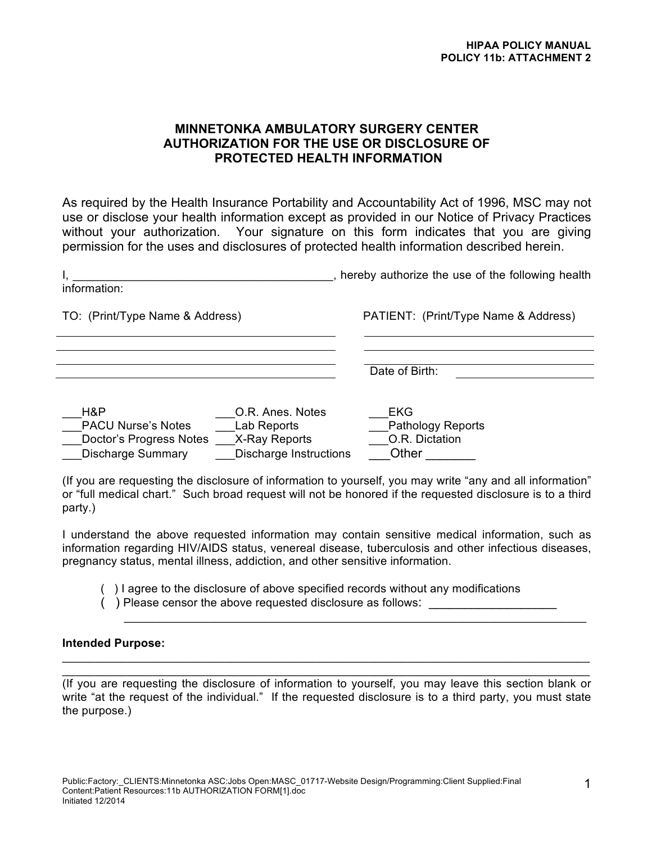# **MINNETONKA AMBULATORY SURGERY CENTER AUTHORIZATION FOR THE USE OR DISCLOSURE OF PROTECTED HEALTH INFORMATION**

As required by the Health Insurance Portability and Accountability Act of 1996, MSC may not use or disclose your health information except as provided in our Notice of Privacy Practices without your authorization. Your signature on this form indicates that you are giving permission for the uses and disclosures of protected health information described herein.

| information:                                                                                                                                                                                                           | , hereby authorize the use of the following health                |
|------------------------------------------------------------------------------------------------------------------------------------------------------------------------------------------------------------------------|-------------------------------------------------------------------|
| TO: (Print/Type Name & Address)                                                                                                                                                                                        | PATIENT: (Print/Type Name & Address)                              |
|                                                                                                                                                                                                                        | Date of Birth:                                                    |
| H&P<br>O.R. Anes. Notes<br><b>PACU Nurse's Notes</b><br>Lab Reports<br>Doctor's Progress Notes<br>X-Ray Reports<br><b>Discharge Summary</b><br><b>Discharge Instructions</b>                                           | <b>EKG</b><br><b>Pathology Reports</b><br>O.R. Dictation<br>Other |
| (If you are requesting the disclosure of information to yourself, you may write "any and all information"<br>or "full medical chart." Such broad request will not be honored if the requested disclosure is to a third |                                                                   |

party.) I understand the above requested information may contain sensitive medical information, such as

information regarding HIV/AIDS status, venereal disease, tuberculosis and other infectious diseases, pregnancy status, mental illness, addiction, and other sensitive information.

( ) I agree to the disclosure of above specified records without any modifications

 $\mathcal{L}_\text{max}$  , and the contribution of the contribution of the contribution of the contribution of the contribution of the contribution of the contribution of the contribution of the contribution of the contribution of t

() Please censor the above requested disclosure as follows:

## **Intended Purpose:**

(If you are requesting the disclosure of information to yourself, you may leave this section blank or write "at the request of the individual." If the requested disclosure is to a third party, you must state the purpose.)

 $\mathcal{L}_\mathcal{L} = \{ \mathcal{L}_\mathcal{L} = \{ \mathcal{L}_\mathcal{L} = \{ \mathcal{L}_\mathcal{L} = \{ \mathcal{L}_\mathcal{L} = \{ \mathcal{L}_\mathcal{L} = \{ \mathcal{L}_\mathcal{L} = \{ \mathcal{L}_\mathcal{L} = \{ \mathcal{L}_\mathcal{L} = \{ \mathcal{L}_\mathcal{L} = \{ \mathcal{L}_\mathcal{L} = \{ \mathcal{L}_\mathcal{L} = \{ \mathcal{L}_\mathcal{L} = \{ \mathcal{L}_\mathcal{L} = \{ \mathcal{L}_\mathcal{$  $\mathcal{L}_\mathcal{L} = \{ \mathcal{L}_\mathcal{L} = \{ \mathcal{L}_\mathcal{L} = \{ \mathcal{L}_\mathcal{L} = \{ \mathcal{L}_\mathcal{L} = \{ \mathcal{L}_\mathcal{L} = \{ \mathcal{L}_\mathcal{L} = \{ \mathcal{L}_\mathcal{L} = \{ \mathcal{L}_\mathcal{L} = \{ \mathcal{L}_\mathcal{L} = \{ \mathcal{L}_\mathcal{L} = \{ \mathcal{L}_\mathcal{L} = \{ \mathcal{L}_\mathcal{L} = \{ \mathcal{L}_\mathcal{L} = \{ \mathcal{L}_\mathcal{$